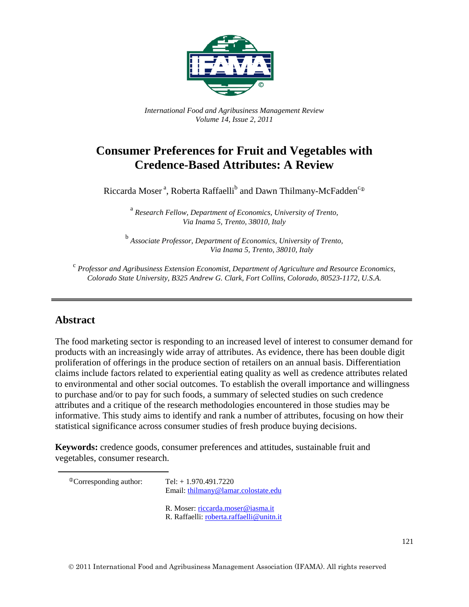

*International Food and Agribusiness Management Review Volume 14, Issue 2, 2011*

# **Consumer Preferences for Fruit and Vegetables with Credence-Based Attributes: A Review**

Riccarda Moser<sup>a</sup>, Roberta Raffaelli<sup>b</sup> and Dawn Thilmany-McFadden<sup>c®</sup>

<sup>a</sup> *Research Fellow, Department of Economics, University of Trento, Via Inama 5, Trento, 38010, Italy*

<sup>b</sup> *Associate Professor, Department of Economics, University of Trento, Via Inama 5, Trento, 38010, Italy*

<sup>c</sup> *Professor and Agribusiness Extension Economist, Department of Agriculture and Resource Economics, Colorado State University, B325 Andrew G. Clark, Fort Collins, Colorado, 80523-1172, U.S.A.*

### **Abstract**

The food marketing sector is responding to an increased level of interest to consumer demand for products with an increasingly wide array of attributes. As evidence, there has been double digit proliferation of offerings in the produce section of retailers on an annual basis. Differentiation claims include factors related to experiential eating quality as well as credence attributes related to environmental and other social outcomes. To establish the overall importance and willingness to purchase and/or to pay for such foods, a summary of selected studies on such credence attributes and a critique of the research methodologies encountered in those studies may be informative. This study aims to identify and rank a number of attributes, focusing on how their statistical significance across consumer studies of fresh produce buying decisions.

**Keywords:** credence goods, consumer preferences and attitudes, sustainable fruit and vegetables, consumer research.

<span id="page-0-0"></span> ${}^{\circ}$ Corresponding author: Tel: + 1.970.491.7220

Email: [thilmany@lamar.colostate.edu](mailto:thilmany@lamar.colostate.edu)

- R. Moser: [riccarda.moser@iasma.it](mailto:riccarda.moser@iasma.it)
- R. Raffaelli: [roberta.raffaelli@unitn.it](mailto:roberta.raffaelli@unitn.it)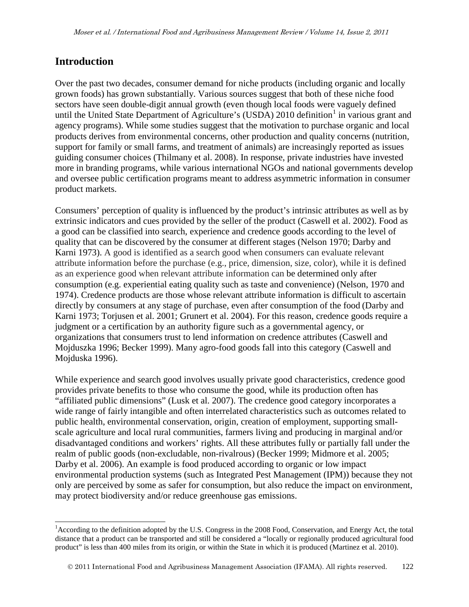### **Introduction**

Over the past two decades, consumer demand for niche products (including organic and locally grown foods) has grown substantially. Various sources suggest that both of these niche food sectors have seen double-digit annual growth (even though local foods were vaguely defined until the United State Department of Agriculture's (USDA) 20[1](#page-0-0)0 definition<sup>1</sup> in various grant and agency programs). While some studies suggest that the motivation to purchase organic and local products derives from environmental concerns, other production and quality concerns (nutrition, support for family or small farms, and treatment of animals) are increasingly reported as issues guiding consumer choices (Thilmany et al. 2008). In response, private industries have invested more in branding programs, while various international NGOs and national governments develop and oversee public certification programs meant to address asymmetric information in consumer product markets.

Consumers' perception of quality is influenced by the product's intrinsic attributes as well as by extrinsic indicators and cues provided by the seller of the product (Caswell et al. 2002). Food as a good can be classified into search, experience and credence goods according to the level of quality that can be discovered by the consumer at different stages (Nelson 1970; Darby and Karni 1973). A good is identified as a search good when consumers can evaluate relevant attribute information before the purchase (e.g., price, dimension, size, color), while it is defined as an experience good when relevant attribute information can be determined only after consumption (e.g. experiential eating quality such as taste and convenience) (Nelson, 1970 and 1974). Credence products are those whose relevant attribute information is difficult to ascertain directly by consumers at any stage of purchase, even after consumption of the food (Darby and Karni 1973; Torjusen et al. 2001; Grunert et al. 2004). For this reason, credence goods require a judgment or a certification by an authority figure such as a governmental agency, or organizations that consumers trust to lend information on credence attributes (Caswell and Mojduszka 1996; Becker 1999). Many agro-food goods fall into this category (Caswell and Mojduska 1996).

While experience and search good involves usually private good characteristics, credence good provides private benefits to those who consume the good, while its production often has "affiliated public dimensions" (Lusk et al. 2007). The credence good category incorporates a wide range of fairly intangible and often interrelated characteristics such as outcomes related to public health, environmental conservation, origin, creation of employment, supporting smallscale agriculture and local rural communities, farmers living and producing in marginal and/or disadvantaged conditions and workers' rights. All these attributes fully or partially fall under the realm of public goods (non-excludable, non-rivalrous) (Becker 1999; Midmore et al. 2005; Darby et al. 2006). An example is food produced according to organic or low impact environmental production systems (such as Integrated Pest Management (IPM)) because they not only are perceived by some as safer for consumption, but also reduce the impact on environment, may protect biodiversity and/or reduce greenhouse gas emissions.

<span id="page-1-0"></span><sup>&</sup>lt;sup>1</sup> According to the definition adopted by the U.S. Congress in the 2008 Food, Conservation, and Energy Act, the total distance that a product can be transported and still be considered a "locally or regionally produced agricultural food product" is less than 400 miles from its origin, or within the State in which it is produced (Martinez et al. 2010).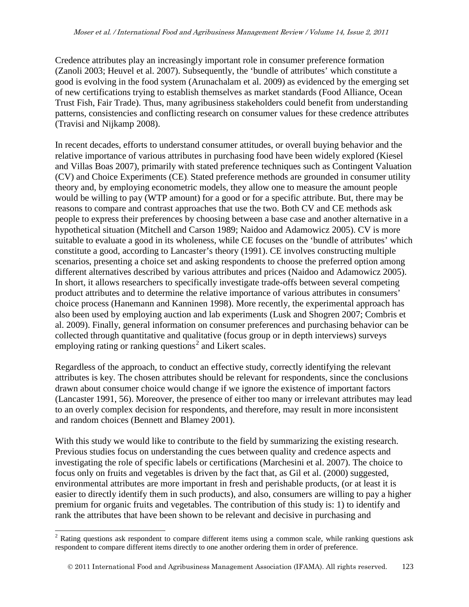Credence attributes play an increasingly important role in consumer preference formation (Zanoli 2003; Heuvel et al. 2007). Subsequently, the 'bundle of attributes' which constitute a good is evolving in the food system (Arunachalam et al. 2009) as evidenced by the emerging set of new certifications trying to establish themselves as market standards (Food Alliance, Ocean Trust Fish, Fair Trade). Thus, many agribusiness stakeholders could benefit from understanding patterns, consistencies and conflicting research on consumer values for these credence attributes (Travisi and Nijkamp 2008).

In recent decades, efforts to understand consumer attitudes, or overall buying behavior and the relative importance of various attributes in purchasing food have been widely explored (Kiesel and Villas Boas 2007), primarily with stated preference techniques such as Contingent Valuation (CV) and Choice Experiments (CE). Stated preference methods are grounded in consumer utility theory and, by employing econometric models, they allow one to measure the amount people would be willing to pay (WTP amount) for a good or for a specific attribute. But, there may be reasons to compare and contrast approaches that use the two. Both CV and CE methods ask people to express their preferences by choosing between a base case and another alternative in a hypothetical situation (Mitchell and Carson 1989; Naidoo and Adamowicz 2005). CV is more suitable to evaluate a good in its wholeness, while CE focuses on the 'bundle of attributes' which constitute a good, according to Lancaster's theory (1991). CE involves constructing multiple scenarios, presenting a choice set and asking respondents to choose the preferred option among different alternatives described by various attributes and prices (Naidoo and Adamowicz 2005). In short, it allows researchers to specifically investigate trade-offs between several competing product attributes and to determine the relative importance of various attributes in consumers' choice process (Hanemann and Kanninen 1998). More recently, the experimental approach has also been used by employing auction and lab experiments (Lusk and Shogren 2007; Combris et al. 2009). Finally, general information on consumer preferences and purchasing behavior can be collected through quantitative and qualitative (focus group or in depth interviews) surveys employing rating or ranking questions<sup>[2](#page-1-0)</sup> and Likert scales.

Regardless of the approach, to conduct an effective study, correctly identifying the relevant attributes is key. The chosen attributes should be relevant for respondents, since the conclusions drawn about consumer choice would change if we ignore the existence of important factors (Lancaster 1991, 56). Moreover, the presence of either too many or irrelevant attributes may lead to an overly complex decision for respondents, and therefore, may result in more inconsistent and random choices (Bennett and Blamey 2001).

With this study we would like to contribute to the field by summarizing the existing research. Previous studies focus on understanding the cues between quality and credence aspects and investigating the role of specific labels or certifications (Marchesini et al. 2007). The choice to focus only on fruits and vegetables is driven by the fact that, as Gil et al. (2000) suggested, environmental attributes are more important in fresh and perishable products, (or at least it is easier to directly identify them in such products), and also, consumers are willing to pay a higher premium for organic fruits and vegetables. The contribution of this study is: 1) to identify and rank the attributes that have been shown to be relevant and decisive in purchasing and

<span id="page-2-0"></span><sup>&</sup>lt;sup>2</sup> Rating questions ask respondent to compare different items using a common scale, while ranking questions ask respondent to compare different items directly to one another ordering them in order of preference.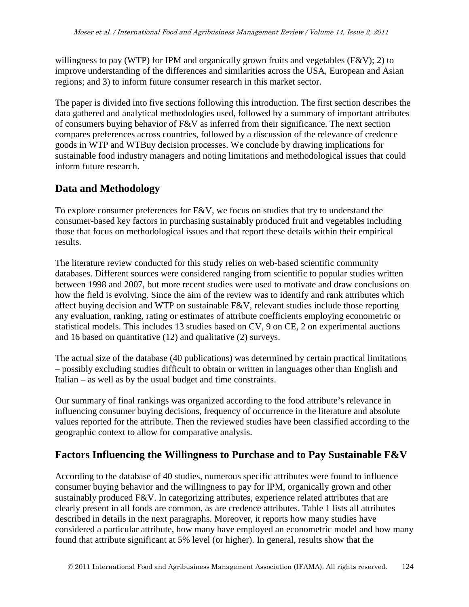willingness to pay (WTP) for IPM and organically grown fruits and vegetables (F&V); 2) to improve understanding of the differences and similarities across the USA, European and Asian regions; and 3) to inform future consumer research in this market sector.

The paper is divided into five sections following this introduction. The first section describes the data gathered and analytical methodologies used, followed by a summary of important attributes of consumers buying behavior of F&V as inferred from their significance. The next section compares preferences across countries, followed by a discussion of the relevance of credence goods in WTP and WTBuy decision processes. We conclude by drawing implications for sustainable food industry managers and noting limitations and methodological issues that could inform future research.

## **Data and Methodology**

To explore consumer preferences for F&V, we focus on studies that try to understand the consumer-based key factors in purchasing sustainably produced fruit and vegetables including those that focus on methodological issues and that report these details within their empirical results.

The literature review conducted for this study relies on web-based scientific community databases. Different sources were considered ranging from scientific to popular studies written between 1998 and 2007, but more recent studies were used to motivate and draw conclusions on how the field is evolving. Since the aim of the review was to identify and rank attributes which affect buying decision and WTP on sustainable F&V, relevant studies include those reporting any evaluation, ranking, rating or estimates of attribute coefficients employing econometric or statistical models. This includes 13 studies based on CV, 9 on CE, 2 on experimental auctions and 16 based on quantitative (12) and qualitative (2) surveys.

The actual size of the database (40 publications) was determined by certain practical limitations – possibly excluding studies difficult to obtain or written in languages other than English and Italian – as well as by the usual budget and time constraints.

Our summary of final rankings was organized according to the food attribute's relevance in influencing consumer buying decisions, frequency of occurrence in the literature and absolute values reported for the attribute. Then the reviewed studies have been classified according to the geographic context to allow for comparative analysis.

## **Factors Influencing the Willingness to Purchase and to Pay Sustainable F&V**

According to the database of 40 studies, numerous specific attributes were found to influence consumer buying behavior and the willingness to pay for IPM, organically grown and other sustainably produced F&V. In categorizing attributes, experience related attributes that are clearly present in all foods are common, as are credence attributes. Table 1 lists all attributes described in details in the next paragraphs. Moreover, it reports how many studies have considered a particular attribute, how many have employed an econometric model and how many found that attribute significant at 5% level (or higher). In general, results show that the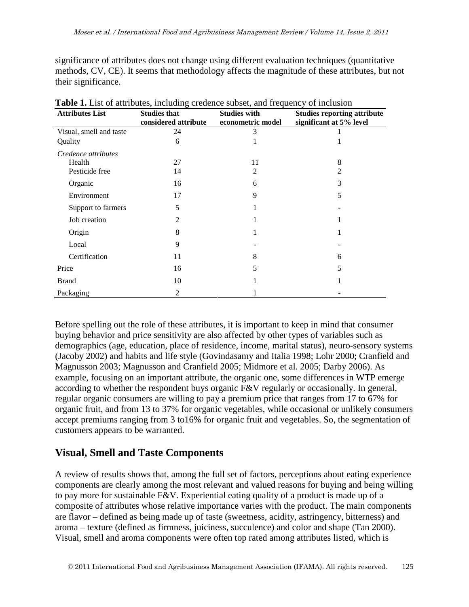significance of attributes does not change using different evaluation techniques (quantitative methods, CV, CE). It seems that methodology affects the magnitude of these attributes, but not their significance.

| <b>Attributes List</b>  | <b>Studies that</b><br>considered attribute | <b>Studies with</b><br>econometric model | <b>Studies reporting attribute</b><br>significant at 5% level |
|-------------------------|---------------------------------------------|------------------------------------------|---------------------------------------------------------------|
| Visual, smell and taste | 24                                          | 3                                        |                                                               |
| Quality                 | 6                                           |                                          |                                                               |
| Credence attributes     |                                             |                                          |                                                               |
| Health                  | 27                                          | 11                                       | 8                                                             |
| Pesticide free          | 14                                          | 2                                        | 2                                                             |
| Organic                 | 16                                          | 6                                        | 3                                                             |
| Environment             | 17                                          | 9                                        | 5                                                             |
| Support to farmers      | 5                                           |                                          |                                                               |
| Job creation            | 2                                           |                                          |                                                               |
| Origin                  | 8                                           |                                          |                                                               |
| Local                   | 9                                           |                                          |                                                               |
| Certification           | 11                                          | 8                                        | 6                                                             |
| Price                   | 16                                          | 5                                        | 5                                                             |
| <b>Brand</b>            | 10                                          |                                          |                                                               |
| Packaging               | 2                                           |                                          |                                                               |

Table 1. List of attributes, including credence subset, and frequency of inclusion

Before spelling out the role of these attributes, it is important to keep in mind that consumer buying behavior and price sensitivity are also affected by other types of variables such as demographics (age, education, place of residence, income, marital status), neuro-sensory systems (Jacoby 2002) and habits and life style (Govindasamy and Italia 1998; Lohr 2000; Cranfield and Magnusson 2003; Magnusson and Cranfield 2005; Midmore et al. 2005; Darby 2006). As example, focusing on an important attribute, the organic one, some differences in WTP emerge according to whether the respondent buys organic F&V regularly or occasionally. In general, regular organic consumers are willing to pay a premium price that ranges from 17 to 67% for organic fruit, and from 13 to 37% for organic vegetables, while occasional or unlikely consumers accept premiums ranging from 3 to16% for organic fruit and vegetables. So, the segmentation of customers appears to be warranted.

## **Visual, Smell and Taste Components**

A review of results shows that, among the full set of factors, perceptions about eating experience components are clearly among the most relevant and valued reasons for buying and being willing to pay more for sustainable F&V. Experiential eating quality of a product is made up of a composite of attributes whose relative importance varies with the product. The main components are flavor – defined as being made up of taste (sweetness, acidity, astringency, bitterness) and aroma – texture (defined as firmness, juiciness, succulence) and color and shape (Tan 2000). Visual, smell and aroma components were often top rated among attributes listed, which is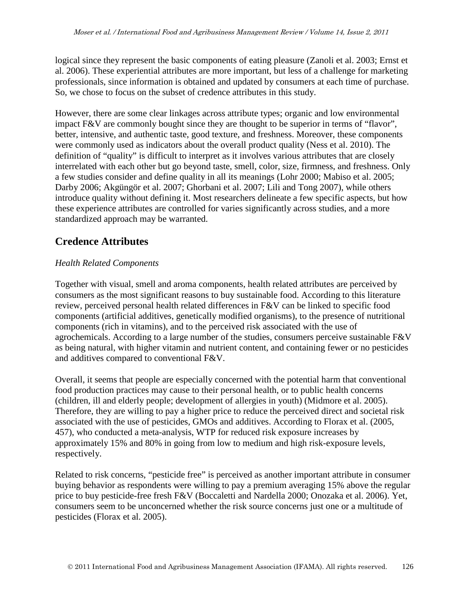logical since they represent the basic components of eating pleasure (Zanoli et al. 2003; Ernst et al. 2006). These experiential attributes are more important, but less of a challenge for marketing professionals, since information is obtained and updated by consumers at each time of purchase. So, we chose to focus on the subset of credence attributes in this study.

However, there are some clear linkages across attribute types; organic and low environmental impact F&V are commonly bought since they are thought to be superior in terms of "flavor", better, intensive, and authentic taste, good texture, and freshness. Moreover, these components were commonly used as indicators about the overall product quality (Ness et al. 2010). The definition of "quality" is difficult to interpret as it involves various attributes that are closely interrelated with each other but go beyond taste, smell, color, size, firmness, and freshness. Only a few studies consider and define quality in all its meanings (Lohr 2000; Mabiso et al. 2005; Darby 2006; Akgüngör et al. 2007; Ghorbani et al. 2007; Lili and Tong 2007), while others introduce quality without defining it. Most researchers delineate a few specific aspects, but how these experience attributes are controlled for varies significantly across studies, and a more standardized approach may be warranted.

## **Credence Attributes**

### *Health Related Components*

Together with visual, smell and aroma components, health related attributes are perceived by consumers as the most significant reasons to buy sustainable food. According to this literature review, perceived personal health related differences in F&V can be linked to specific food components (artificial additives, genetically modified organisms), to the presence of nutritional components (rich in vitamins), and to the perceived risk associated with the use of agrochemicals. According to a large number of the studies, consumers perceive sustainable F&V as being natural, with higher vitamin and nutrient content, and containing fewer or no pesticides and additives compared to conventional F&V.

Overall, it seems that people are especially concerned with the potential harm that conventional food production practices may cause to their personal health, or to public health concerns (children, ill and elderly people; development of allergies in youth) (Midmore et al. 2005). Therefore, they are willing to pay a higher price to reduce the perceived direct and societal risk associated with the use of pesticides, GMOs and additives. According to Florax et al. (2005, 457), who conducted a meta-analysis, WTP for reduced risk exposure increases by approximately 15% and 80% in going from low to medium and high risk-exposure levels, respectively.

Related to risk concerns, "pesticide free" is perceived as another important attribute in consumer buying behavior as respondents were willing to pay a premium averaging 15% above the regular price to buy pesticide-free fresh F&V (Boccaletti and Nardella 2000; Onozaka et al. 2006). Yet, consumers seem to be unconcerned whether the risk source concerns just one or a multitude of pesticides (Florax et al. 2005).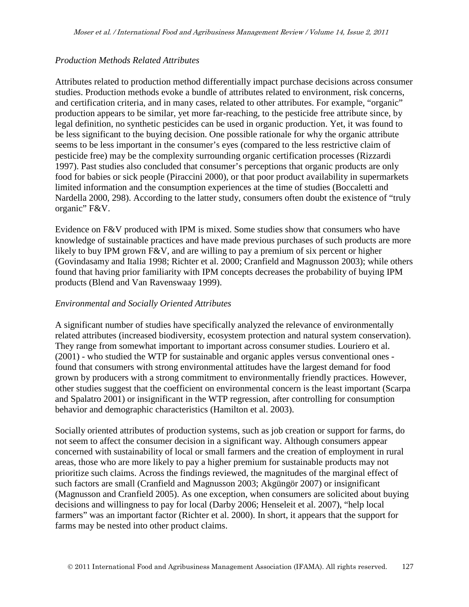#### *Production Methods Related Attributes*

Attributes related to production method differentially impact purchase decisions across consumer studies. Production methods evoke a bundle of attributes related to environment, risk concerns, and certification criteria, and in many cases, related to other attributes. For example, "organic" production appears to be similar, yet more far-reaching, to the pesticide free attribute since, by legal definition, no synthetic pesticides can be used in organic production. Yet, it was found to be less significant to the buying decision. One possible rationale for why the organic attribute seems to be less important in the consumer's eyes (compared to the less restrictive claim of pesticide free) may be the complexity surrounding organic certification processes (Rizzardi 1997). Past studies also concluded that consumer's perceptions that organic products are only food for babies or sick people (Piraccini 2000), or that poor product availability in supermarkets limited information and the consumption experiences at the time of studies (Boccaletti and Nardella 2000, 298). According to the latter study, consumers often doubt the existence of "truly organic" F&V.

Evidence on F&V produced with IPM is mixed. Some studies show that consumers who have knowledge of sustainable practices and have made previous purchases of such products are more likely to buy IPM grown F&V, and are willing to pay a premium of six percent or higher (Govindasamy and Italia 1998; Richter et al. 2000; Cranfield and Magnusson 2003); while others found that having prior familiarity with IPM concepts decreases the probability of buying IPM products (Blend and Van Ravenswaay 1999).

#### *Environmental and Socially Oriented Attributes*

A significant number of studies have specifically analyzed the relevance of environmentally related attributes (increased biodiversity, ecosystem protection and natural system conservation). They range from somewhat important to important across consumer studies. Louriero et al. (2001) - who studied the WTP for sustainable and organic apples versus conventional ones found that consumers with strong environmental attitudes have the largest demand for food grown by producers with a strong commitment to environmentally friendly practices. However, other studies suggest that the coefficient on environmental concern is the least important (Scarpa and Spalatro 2001) or insignificant in the WTP regression, after controlling for consumption behavior and demographic characteristics (Hamilton et al. 2003).

Socially oriented attributes of production systems, such as job creation or support for farms, do not seem to affect the consumer decision in a significant way. Although consumers appear concerned with sustainability of local or small farmers and the creation of employment in rural areas, those who are more likely to pay a higher premium for sustainable products may not prioritize such claims. Across the findings reviewed, the magnitudes of the marginal effect of such factors are small (Cranfield and Magnusson 2003; Akgüngör 2007) or insignificant (Magnusson and Cranfield 2005). As one exception, when consumers are solicited about buying decisions and willingness to pay for local (Darby 2006; Henseleit et al. 2007), "help local farmers" was an important factor (Richter et al. 2000). In short, it appears that the support for farms may be nested into other product claims.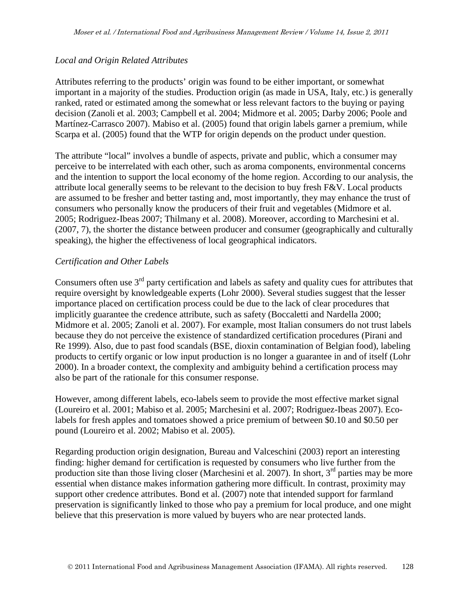#### *Local and Origin Related Attributes*

Attributes referring to the products' origin was found to be either important, or somewhat important in a majority of the studies. Production origin (as made in USA, Italy, etc.) is generally ranked, rated or estimated among the somewhat or less relevant factors to the buying or paying decision (Zanoli et al. 2003; Campbell et al. 2004; Midmore et al. 2005; Darby 2006; Poole and Martínez-Carrasco 2007). Mabiso et al. (2005) found that origin labels garner a premium, while Scarpa et al. (2005) found that the WTP for origin depends on the product under question.

The attribute "local" involves a bundle of aspects, private and public, which a consumer may perceive to be interrelated with each other, such as aroma components, environmental concerns and the intention to support the local economy of the home region. According to our analysis, the attribute local generally seems to be relevant to the decision to buy fresh F&V. Local products are assumed to be fresher and better tasting and, most importantly, they may enhance the trust of consumers who personally know the producers of their fruit and vegetables (Midmore et al. 2005; Rodriguez-Ibeas 2007; Thilmany et al. 2008). Moreover, according to Marchesini et al. (2007, 7), the shorter the distance between producer and consumer (geographically and culturally speaking), the higher the effectiveness of local geographical indicators.

#### *Certification and Other Labels*

Consumers often use  $3<sup>rd</sup>$  party certification and labels as safety and quality cues for attributes that require oversight by knowledgeable experts (Lohr 2000). Several studies suggest that the lesser importance placed on certification process could be due to the lack of clear procedures that implicitly guarantee the credence attribute, such as safety (Boccaletti and Nardella 2000; Midmore et al. 2005; Zanoli et al. 2007). For example, most Italian consumers do not trust labels because they do not perceive the existence of standardized certification procedures (Pirani and Re 1999). Also, due to past food scandals (BSE, dioxin contamination of Belgian food), labeling products to certify organic or low input production is no longer a guarantee in and of itself (Lohr 2000). In a broader context, the complexity and ambiguity behind a certification process may also be part of the rationale for this consumer response.

However, among different labels, eco-labels seem to provide the most effective market signal (Loureiro et al. 2001; Mabiso et al. 2005; Marchesini et al. 2007; Rodriguez-Ibeas 2007). Ecolabels for fresh apples and tomatoes showed a price premium of between \$0.10 and \$0.50 per pound (Loureiro et al. 2002; Mabiso et al. 2005).

Regarding production origin designation, Bureau and Valceschini (2003) report an interesting finding: higher demand for certification is requested by consumers who live further from the production site than those living closer (Marchesini et al. 2007). In short,  $3<sup>rd</sup>$  parties may be more essential when distance makes information gathering more difficult. In contrast, proximity may support other credence attributes. Bond et al. (2007) note that intended support for farmland preservation is significantly linked to those who pay a premium for local produce, and one might believe that this preservation is more valued by buyers who are near protected lands.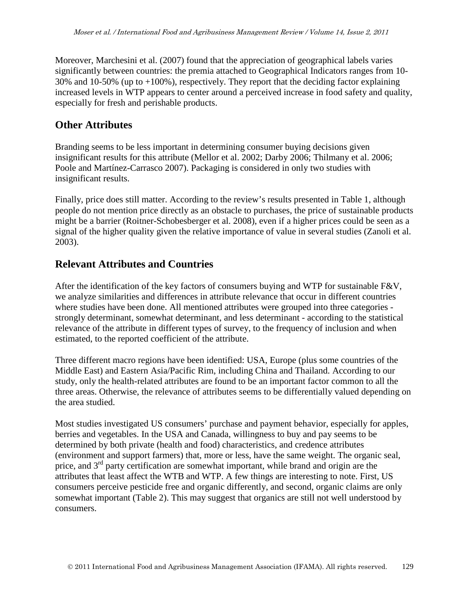Moreover, Marchesini et al. (2007) found that the appreciation of geographical labels varies significantly between countries: the premia attached to Geographical Indicators ranges from 10- 30% and 10-50% (up to +100%), respectively. They report that the deciding factor explaining increased levels in WTP appears to center around a perceived increase in food safety and quality, especially for fresh and perishable products.

## **Other Attributes**

Branding seems to be less important in determining consumer buying decisions given insignificant results for this attribute (Mellor et al. 2002; Darby 2006; Thilmany et al. 2006; Poole and Martínez-Carrasco 2007). Packaging is considered in only two studies with insignificant results.

Finally, price does still matter. According to the review's results presented in Table 1, although people do not mention price directly as an obstacle to purchases, the price of sustainable products might be a barrier (Roitner-Schobesberger et al. 2008), even if a higher prices could be seen as a signal of the higher quality given the relative importance of value in several studies (Zanoli et al. 2003).

## **Relevant Attributes and Countries**

After the identification of the key factors of consumers buying and WTP for sustainable F&V, we analyze similarities and differences in attribute relevance that occur in different countries where studies have been done. All mentioned attributes were grouped into three categories strongly determinant, somewhat determinant, and less determinant - according to the statistical relevance of the attribute in different types of survey, to the frequency of inclusion and when estimated, to the reported coefficient of the attribute.

Three different macro regions have been identified: USA, Europe (plus some countries of the Middle East) and Eastern Asia/Pacific Rim, including China and Thailand. According to our study, only the health-related attributes are found to be an important factor common to all the three areas. Otherwise, the relevance of attributes seems to be differentially valued depending on the area studied.

Most studies investigated US consumers' purchase and payment behavior, especially for apples, berries and vegetables. In the USA and Canada, willingness to buy and pay seems to be determined by both private (health and food) characteristics, and credence attributes (environment and support farmers) that, more or less, have the same weight. The organic seal, price, and 3<sup>rd</sup> party certification are somewhat important, while brand and origin are the attributes that least affect the WTB and WTP. A few things are interesting to note. First, US consumers perceive pesticide free and organic differently, and second, organic claims are only somewhat important (Table 2). This may suggest that organics are still not well understood by consumers.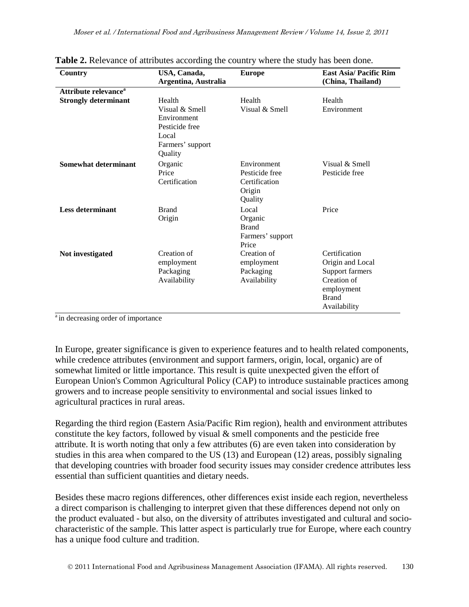| Country                          | USA, Canada,<br>Argentina, Australia                                                              | <b>Europe</b>                                                       | <b>East Asia/ Pacific Rim</b><br>(China, Thailand)                                                                |
|----------------------------------|---------------------------------------------------------------------------------------------------|---------------------------------------------------------------------|-------------------------------------------------------------------------------------------------------------------|
| Attribute relevance <sup>a</sup> |                                                                                                   |                                                                     |                                                                                                                   |
| <b>Strongly determinant</b>      | Health<br>Visual & Smell<br>Environment<br>Pesticide free<br>Local<br>Farmers' support<br>Quality | Health<br>Visual & Smell                                            | Health<br>Environment                                                                                             |
| <b>Somewhat determinant</b>      | Organic<br>Price<br>Certification                                                                 | Environment<br>Pesticide free<br>Certification<br>Origin<br>Quality | Visual & Smell<br>Pesticide free                                                                                  |
| <b>Less determinant</b>          | <b>Brand</b><br>Origin                                                                            | Local<br>Organic<br><b>Brand</b><br>Farmers' support<br>Price       | Price                                                                                                             |
| Not investigated                 | Creation of<br>employment<br>Packaging<br>Availability                                            | Creation of<br>employment<br>Packaging<br>Availability              | Certification<br>Origin and Local<br>Support farmers<br>Creation of<br>employment<br><b>Brand</b><br>Availability |

<sup>a</sup> in decreasing order of importance

In Europe, greater significance is given to experience features and to health related components, while credence attributes (environment and support farmers, origin, local, organic) are of somewhat limited or little importance. This result is quite unexpected given the effort of European Union's Common Agricultural Policy (CAP) to introduce sustainable practices among growers and to increase people sensitivity to environmental and social issues linked to agricultural practices in rural areas.

Regarding the third region (Eastern Asia/Pacific Rim region), health and environment attributes constitute the key factors, followed by visual  $\&$  smell components and the pesticide free attribute. It is worth noting that only a few attributes (6) are even taken into consideration by studies in this area when compared to the US (13) and European (12) areas, possibly signaling that developing countries with broader food security issues may consider credence attributes less essential than sufficient quantities and dietary needs.

Besides these macro regions differences, other differences exist inside each region, nevertheless a direct comparison is challenging to interpret given that these differences depend not only on the product evaluated - but also, on the diversity of attributes investigated and cultural and sociocharacteristic of the sample. This latter aspect is particularly true for Europe, where each country has a unique food culture and tradition.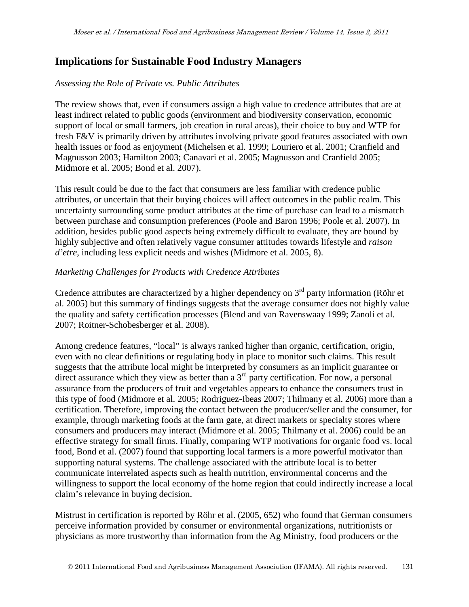### **Implications for Sustainable Food Industry Managers**

#### *Assessing the Role of Private vs. Public Attributes*

The review shows that, even if consumers assign a high value to credence attributes that are at least indirect related to public goods (environment and biodiversity conservation, economic support of local or small farmers, job creation in rural areas), their choice to buy and WTP for fresh F&V is primarily driven by attributes involving private good features associated with own health issues or food as enjoyment (Michelsen et al. 1999; Louriero et al. 2001; Cranfield and Magnusson 2003; Hamilton 2003; Canavari et al. 2005; Magnusson and Cranfield 2005; Midmore et al. 2005; Bond et al. 2007).

This result could be due to the fact that consumers are less familiar with credence public attributes, or uncertain that their buying choices will affect outcomes in the public realm. This uncertainty surrounding some product attributes at the time of purchase can lead to a mismatch between purchase and consumption preferences (Poole and Baron 1996; Poole et al. 2007). In addition, besides public good aspects being extremely difficult to evaluate, they are bound by highly subjective and often relatively vague consumer attitudes towards lifestyle and *raison d'etre*, including less explicit needs and wishes (Midmore et al. 2005, 8).

#### *Marketing Challenges for Products with Credence Attributes*

Credence attributes are characterized by a higher dependency on  $3<sup>rd</sup>$  party information (Röhr et al. 2005) but this summary of findings suggests that the average consumer does not highly value the quality and safety certification processes (Blend and van Ravenswaay 1999; Zanoli et al. 2007; Roitner-Schobesberger et al. 2008).

Among credence features, "local" is always ranked higher than organic, certification, origin, even with no clear definitions or regulating body in place to monitor such claims. This result suggests that the attribute local might be interpreted by consumers as an implicit guarantee or direct assurance which they view as better than a  $3<sup>rd</sup>$  party certification. For now, a personal assurance from the producers of fruit and vegetables appears to enhance the consumers trust in this type of food (Midmore et al. 2005; Rodriguez-Ibeas 2007; Thilmany et al. 2006) more than a certification. Therefore, improving the contact between the producer/seller and the consumer, for example, through marketing foods at the farm gate, at direct markets or specialty stores where consumers and producers may interact (Midmore et al. 2005; Thilmany et al. 2006) could be an effective strategy for small firms. Finally, comparing WTP motivations for organic food vs. local food, Bond et al. (2007) found that supporting local farmers is a more powerful motivator than supporting natural systems. The challenge associated with the attribute local is to better communicate interrelated aspects such as health nutrition, environmental concerns and the willingness to support the local economy of the home region that could indirectly increase a local claim's relevance in buying decision.

Mistrust in certification is reported by Röhr et al. (2005, 652) who found that German consumers perceive information provided by consumer or environmental organizations, nutritionists or physicians as more trustworthy than information from the Ag Ministry, food producers or the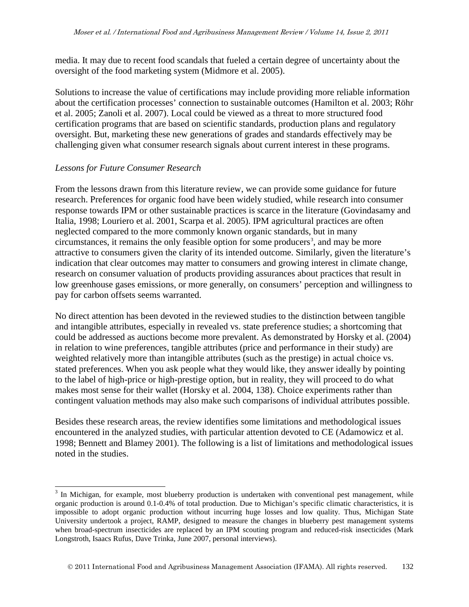media. It may due to recent food scandals that fueled a certain degree of uncertainty about the oversight of the food marketing system (Midmore et al. 2005).

Solutions to increase the value of certifications may include providing more reliable information about the certification processes' connection to sustainable outcomes (Hamilton et al. 2003; Röhr et al. 2005; Zanoli et al. 2007). Local could be viewed as a threat to more structured food certification programs that are based on scientific standards, production plans and regulatory oversight. But, marketing these new generations of grades and standards effectively may be challenging given what consumer research signals about current interest in these programs.

#### *Lessons for Future Consumer Research*

From the lessons drawn from this literature review, we can provide some guidance for future research. Preferences for organic food have been widely studied, while research into consumer response towards IPM or other sustainable practices is scarce in the literature (Govindasamy and Italia, 1998; Louriero et al. 2001, Scarpa et al. 2005). IPM agricultural practices are often neglected compared to the more commonly known organic standards, but in many  $circumstances, it remains the only feasible option for some producers<sup>3</sup>, and may be more$  $circumstances, it remains the only feasible option for some producers<sup>3</sup>, and may be more$  $circumstances, it remains the only feasible option for some producers<sup>3</sup>, and may be more$ attractive to consumers given the clarity of its intended outcome. Similarly, given the literature's indication that clear outcomes may matter to consumers and growing interest in climate change, research on consumer valuation of products providing assurances about practices that result in low greenhouse gases emissions, or more generally, on consumers' perception and willingness to pay for carbon offsets seems warranted.

No direct attention has been devoted in the reviewed studies to the distinction between tangible and intangible attributes, especially in revealed vs. state preference studies; a shortcoming that could be addressed as auctions become more prevalent. As demonstrated by Horsky et al. (2004) in relation to wine preferences, tangible attributes (price and performance in their study) are weighted relatively more than intangible attributes (such as the prestige) in actual choice vs. stated preferences. When you ask people what they would like, they answer ideally by pointing to the label of high-price or high-prestige option, but in reality, they will proceed to do what makes most sense for their wallet (Horsky et al. 2004, 138). Choice experiments rather than contingent valuation methods may also make such comparisons of individual attributes possible.

Besides these research areas, the review identifies some limitations and methodological issues encountered in the analyzed studies, with particular attention devoted to CE (Adamowicz et al. 1998; Bennett and Blamey 2001). The following is a list of limitations and methodological issues noted in the studies.

<span id="page-11-0"></span><sup>&</sup>lt;sup>3</sup> In Michigan, for example, most blueberry production is undertaken with conventional pest management, while organic production is around 0.1-0.4% of total production. Due to Michigan's specific climatic characteristics, it is impossible to adopt organic production without incurring huge losses and low quality. Thus, Michigan State University undertook a project, RAMP, designed to measure the changes in blueberry pest management systems when broad-spectrum insecticides are replaced by an IPM scouting program and reduced-risk insecticides (Mark Longstroth, Isaacs Rufus, Dave Trinka, June 2007, personal interviews).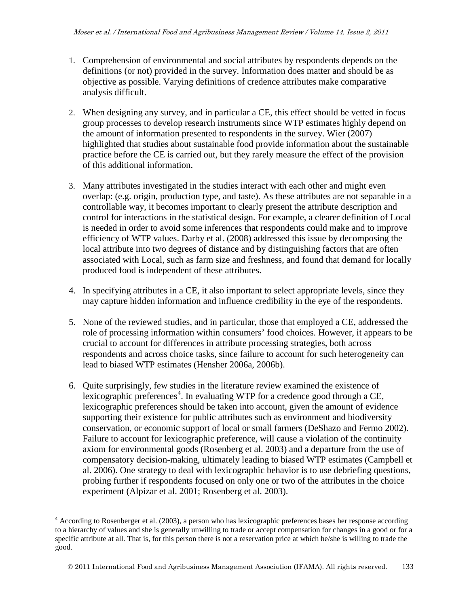- 1. Comprehension of environmental and social attributes by respondents depends on the definitions (or not) provided in the survey. Information does matter and should be as objective as possible. Varying definitions of credence attributes make comparative analysis difficult.
- 2. When designing any survey, and in particular a CE, this effect should be vetted in focus group processes to develop research instruments since WTP estimates highly depend on the amount of information presented to respondents in the survey. Wier (2007) highlighted that studies about sustainable food provide information about the sustainable practice before the CE is carried out, but they rarely measure the effect of the provision of this additional information.
- 3. Many attributes investigated in the studies interact with each other and might even overlap: (e.g. origin, production type, and taste). As these attributes are not separable in a controllable way, it becomes important to clearly present the attribute description and control for interactions in the statistical design. For example, a clearer definition of Local is needed in order to avoid some inferences that respondents could make and to improve efficiency of WTP values. Darby et al. (2008) addressed this issue by decomposing the local attribute into two degrees of distance and by distinguishing factors that are often associated with Local, such as farm size and freshness, and found that demand for locally produced food is independent of these attributes.
- 4. In specifying attributes in a CE, it also important to select appropriate levels, since they may capture hidden information and influence credibility in the eye of the respondents.
- 5. None of the reviewed studies, and in particular, those that employed a CE, addressed the role of processing information within consumers' food choices. However, it appears to be crucial to account for differences in attribute processing strategies, both across respondents and across choice tasks, since failure to account for such heterogeneity can lead to biased WTP estimates (Hensher 2006a, 2006b).
- 6. Quite surprisingly, few studies in the literature review examined the existence of lexicographic preferences<sup>[4](#page-11-0)</sup>. In evaluating WTP for a credence good through a CE, lexicographic preferences should be taken into account, given the amount of evidence supporting their existence for public attributes such as environment and biodiversity conservation, or economic support of local or small farmers (DeShazo and Fermo 2002). Failure to account for lexicographic preference, will cause a violation of the continuity axiom for environmental goods (Rosenberg et al. 2003) and a departure from the use of compensatory decision-making, ultimately leading to biased WTP estimates (Campbell et al. 2006). One strategy to deal with lexicographic behavior is to use debriefing questions, probing further if respondents focused on only one or two of the attributes in the choice experiment (Alpizar et al. 2001; Rosenberg et al. 2003).

<sup>&</sup>lt;sup>4</sup> According to Rosenberger et al. (2003), a person who has lexicographic preferences bases her response according to a hierarchy of values and she is generally unwilling to trade or accept compensation for changes in a good or for a specific attribute at all. That is, for this person there is not a reservation price at which he/she is willing to trade the good.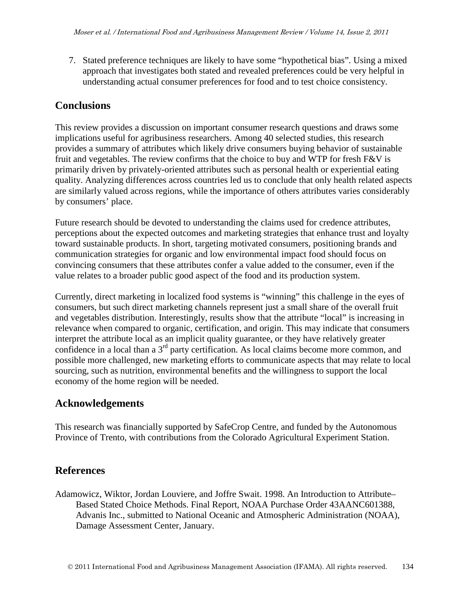7. Stated preference techniques are likely to have some "hypothetical bias". Using a mixed approach that investigates both stated and revealed preferences could be very helpful in understanding actual consumer preferences for food and to test choice consistency.

### **Conclusions**

This review provides a discussion on important consumer research questions and draws some implications useful for agribusiness researchers. Among 40 selected studies, this research provides a summary of attributes which likely drive consumers buying behavior of sustainable fruit and vegetables. The review confirms that the choice to buy and WTP for fresh F&V is primarily driven by privately-oriented attributes such as personal health or experiential eating quality. Analyzing differences across countries led us to conclude that only health related aspects are similarly valued across regions, while the importance of others attributes varies considerably by consumers' place.

Future research should be devoted to understanding the claims used for credence attributes, perceptions about the expected outcomes and marketing strategies that enhance trust and loyalty toward sustainable products. In short, targeting motivated consumers, positioning brands and communication strategies for organic and low environmental impact food should focus on convincing consumers that these attributes confer a value added to the consumer, even if the value relates to a broader public good aspect of the food and its production system.

Currently, direct marketing in localized food systems is "winning" this challenge in the eyes of consumers, but such direct marketing channels represent just a small share of the overall fruit and vegetables distribution. Interestingly, results show that the attribute "local" is increasing in relevance when compared to organic, certification, and origin. This may indicate that consumers interpret the attribute local as an implicit quality guarantee, or they have relatively greater confidence in a local than a 3<sup>rd</sup> party certification. As local claims become more common, and possible more challenged, new marketing efforts to communicate aspects that may relate to local sourcing, such as nutrition, environmental benefits and the willingness to support the local economy of the home region will be needed.

## **Acknowledgements**

This research was financially supported by SafeCrop Centre, and funded by the Autonomous Province of Trento, with contributions from the Colorado Agricultural Experiment Station.

## **References**

Adamowicz, Wiktor, Jordan Louviere, and Joffre Swait. 1998. An Introduction to Attribute– Based Stated Choice Methods. Final Report, NOAA Purchase Order 43AANC601388, Advanis Inc., submitted to National Oceanic and Atmospheric Administration (NOAA), Damage Assessment Center, January.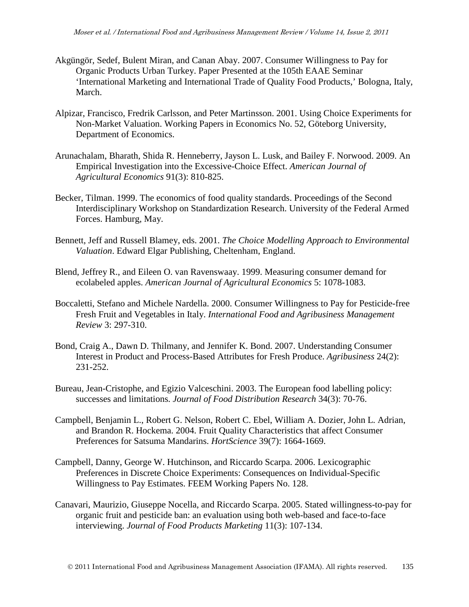- Akgüngör, Sedef, Bulent Miran, and Canan Abay. 2007. Consumer Willingness to Pay for Organic Products Urban Turkey. Paper Presented at the 105th EAAE Seminar 'International Marketing and International Trade of Quality Food Products,' Bologna, Italy, March.
- Alpizar, Francisco, Fredrik Carlsson, and Peter Martinsson. 2001. [Using Choice Experiments for](http://ideas.repec.org/p/hhs/gunwpe/0052.html)  [Non-Market Valuation.](http://ideas.repec.org/p/hhs/gunwpe/0052.html) [Working Papers in Economics](http://ideas.repec.org/s/hhs/gunwpe.html) No. 52, Göteborg University, Department of Economics.
- Arunachalam, Bharath, Shida R. Henneberry, Jayson L. Lusk, and Bailey F. Norwood. 2009. An Empirical Investigation into the Excessive-Choice Effect. *American Journal of Agricultural Economics* 91(3): 810-825.
- Becker, Tilman. 1999. The economics of food quality standards. Proceedings of the Second Interdisciplinary Workshop on Standardization Research. University of the Federal Armed Forces. Hamburg, May.
- Bennett, Jeff and Russell Blamey, eds. 2001. *The Choice Modelling Approach to Environmental Valuation*. Edward Elgar Publishing, Cheltenham, England.
- Blend, Jeffrey R., and Eileen O. van Ravenswaay. 1999. Measuring consumer demand for ecolabeled apples. *American Journal of Agricultural Economics* 5: 1078-1083.
- Boccaletti, Stefano and Michele Nardella. 2000. Consumer Willingness to Pay for Pesticide-free Fresh Fruit and Vegetables in Italy. *International Food and Agribusiness Management Review* 3: 297-310.
- Bond, Craig A., Dawn D. Thilmany, and Jennifer K. Bond. 2007. Understanding Consumer Interest in Product and Process-Based Attributes for Fresh Produce. *Agribusiness* 24(2): 231-252.
- Bureau, Jean-Cristophe, and Egizio Valceschini. 2003. The European food labelling policy: successes and limitations. *Journal of Food Distribution Research* 34(3): 70-76.
- Campbell, Benjamin L., Robert G. Nelson, Robert C. Ebel, William A. Dozier, John L. Adrian, and Brandon R. Hockema. 2004. Fruit Quality Characteristics that affect Consumer Preferences for Satsuma Mandarins. *HortScience* 39(7): 1664-1669.
- Campbell, Danny, George W. Hutchinson, and Riccardo Scarpa. 2006. Lexicographic Preferences in Discrete Choice Experiments: Consequences on Individual-Specific Willingness to Pay Estimates. FEEM [Working Papers](http://ideas.repec.org/s/fem/femwpa.html) No. 128.
- Canavari, Maurizio, Giuseppe Nocella, and Riccardo Scarpa. 2005. Stated willingness-to-pay for organic fruit and pesticide ban: an evaluation using both web-based and face-to-face interviewing. *Journal of Food Products Marketing* 11(3): 107-134.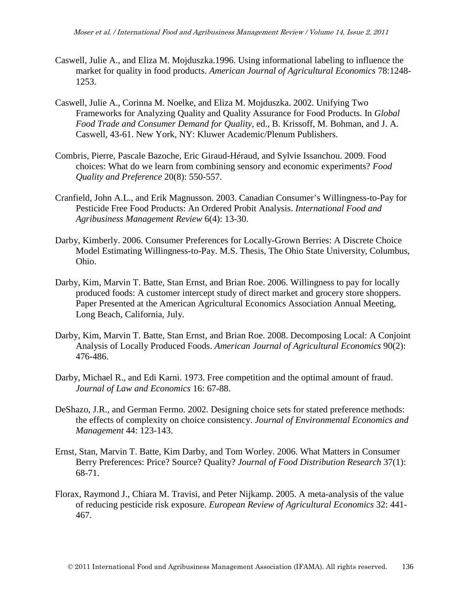- Caswell, Julie A., and Eliza M. Mojduszka.1996. Using informational labeling to influence the market for quality in food products. *American Journal of Agricultural Economics* 78:1248- 1253.
- Caswell, Julie A., Corinna M. Noelke, and Eliza M. Mojduszka. 2002. Unifying Two Frameworks for Analyzing Quality and Quality Assurance for Food Products. In *Global Food Trade and Consumer Demand for Quality,* ed., B. Krissoff, M. Bohman, and J. A. Caswell, 43-61. New York, NY: Kluwer Academic/Plenum Publishers.
- Combris, Pierre, Pascale Bazoche, Eric Giraud-Héraud, and Sylvie Issanchou. 2009. Food choices: What do we learn from combining sensory and economic experiments? *Food Quality and Preference* 20(8): 550-557.
- Cranfield, John A.L., and Erik Magnusson. 2003. Canadian Consumer's Willingness-to-Pay for Pesticide Free Food Products: An Ordered Probit Analysis. *International Food and Agribusiness Management Review* 6(4): 13-30.
- Darby, Kimberly. 2006. Consumer Preferences for Locally-Grown Berries: A Discrete Choice Model Estimating Willingness-to-Pay. M.S. Thesis, The Ohio State University, Columbus, Ohio.
- Darby, Kim, Marvin T. Batte, Stan Ernst, and Brian Roe. 2006. Willingness to pay for locally produced foods: A customer intercept study of direct market and grocery store shoppers. Paper Presented at the American Agricultural Economics Association Annual Meeting, Long Beach, California, July.
- Darby, Kim, Marvin T. Batte, Stan Ernst, and Brian Roe. 2008. Decomposing Local: A Conjoint Analysis of Locally Produced Foods. *American Journal of Agricultural Economics* 90(2): 476-486.
- Darby, Michael R., and Edi Karni. 1973. Free competition and the optimal amount of fraud. *Journal of Law and Economics* 16: 67-88.
- DeShazo, J.R., and German Fermo. 2002. Designing choice sets for stated preference methods: the effects of complexity on choice consistency. *Journal of Environmental Economics and Management* 44: 123-143.
- Ernst, Stan, Marvin T. Batte, Kim Darby, and Tom Worley. 2006. What Matters in Consumer Berry Preferences: Price? Source? Quality? *Journal of Food Distribution Research* 37(1): 68-71.
- Florax, Raymond J., Chiara M. Travisi, and Peter Nijkamp. 2005. A meta-analysis of the value of reducing pesticide risk exposure. *European Review of Agricultural Economics* 32: 441- 467.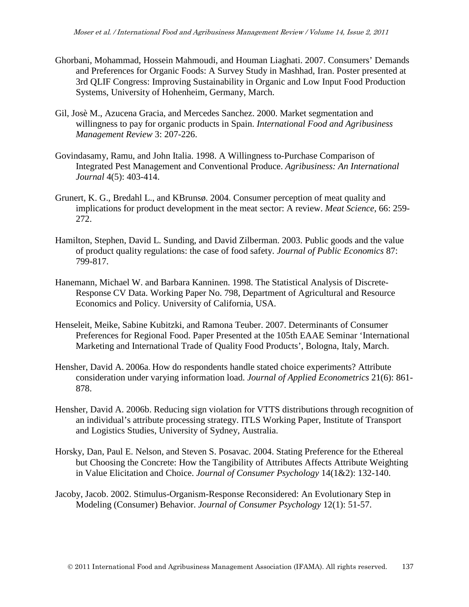- Ghorbani, Mohammad, Hossein Mahmoudi, and Houman Liaghati. 2007. Consumers' Demands and Preferences for Organic Foods: A Survey Study in Mashhad, Iran. Poster presented at 3rd QLIF Congress: Improving Sustainability in Organic and Low Input Food Production Systems, University of Hohenheim, Germany, March.
- Gil, Josè M., Azucena Gracia, and Mercedes Sanchez. 2000. Market segmentation and willingness to pay for organic products in Spain. *International Food and Agribusiness Management Review* 3: 207-226.
- Govindasamy, Ramu, and John Italia. 1998. A Willingness to-Purchase Comparison of Integrated Pest Management and Conventional Produce. *Agribusiness: An International Journal* 4(5): 403-414.
- Grunert, K. G., Bredahl L., and KBrunsø. 2004. Consumer perception of meat quality and implications for product development in the meat sector: A review. *Meat Science*, 66: 259- 272.
- Hamilton, Stephen, David L. Sunding, and David Zilberman. 2003. Public goods and the value of product quality regulations: the case of food safety. *Journal of Public Economics* 87: 799-817.
- Hanemann, Michael W. and Barbara Kanninen. 1998. The Statistical Analysis of Discrete-Response CV Data. Working Paper No. 798, Department of Agricultural and Resource Economics and Policy. University of California, USA.
- Henseleit, Meike, Sabine Kubitzki, and Ramona Teuber. 2007. Determinants of Consumer Preferences for Regional Food. Paper Presented at the 105th EAAE Seminar 'International Marketing and International Trade of Quality Food Products', Bologna, Italy, March.
- Hensher, David A. 2006a. How do respondents handle stated choice experiments? Attribute consideration under varying information load. *Journal of Applied Econometrics* 21(6): 861- 878.
- Hensher, David A. 2006b. Reducing sign violation for VTTS distributions through recognition of an individual's attribute processing strategy. ITLS Working Paper, Institute of Transport and Logistics Studies, University of Sydney, Australia.
- Horsky, Dan, Paul E. Nelson, and Steven S. Posavac. 2004. Stating Preference for the Ethereal but Choosing the Concrete: How the Tangibility of Attributes Affects Attribute Weighting in Value Elicitation and Choice. *Journal of Consumer Psychology* 14(1&2): 132-140.
- Jacoby, Jacob. 2002. Stimulus-Organism-Response Reconsidered: An Evolutionary Step in Modeling (Consumer) Behavior. *Journal of Consumer Psychology* 12(1): 51-57.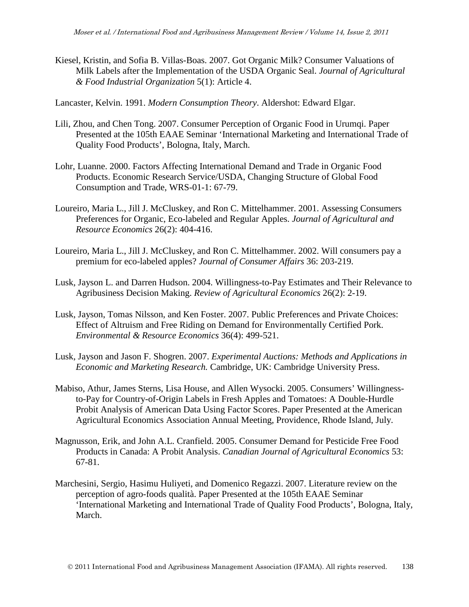Kiesel, Kristin, and Sofia B. Villas-Boas. 2007. Got Organic Milk? Consumer Valuations of Milk Labels after the Implementation of the USDA Organic Seal. *Journal of Agricultural & Food Industrial Organization* 5(1): Article 4.

Lancaster, Kelvin. 1991. *Modern Consumption Theory*. Aldershot: Edward Elgar.

- Lili, Zhou, and Chen Tong. 2007. Consumer Perception of Organic Food in Urumqi. Paper Presented at the 105th EAAE Seminar 'International Marketing and International Trade of Quality Food Products', Bologna, Italy, March.
- Lohr, Luanne. 2000. Factors Affecting International Demand and Trade in Organic Food Products. Economic Research Service/USDA, Changing Structure of Global Food Consumption and Trade, WRS-01-1: 67-79.
- Loureiro, Maria L., Jill J. McCluskey, and Ron C. Mittelhammer. 2001. Assessing Consumers Preferences for Organic, Eco-labeled and Regular Apples. *Journal of Agricultural and Resource Economics* 26(2): 404-416.
- Loureiro, Maria L., Jill J. McCluskey, and Ron C. Mittelhammer. 2002. Will consumers pay a premium for eco-labeled apples? *Journal of Consumer Affairs* 36: 203-219.
- Lusk, Jayson L. and Darren Hudson. 2004. Willingness-to-Pay Estimates and Their Relevance to Agribusiness Decision Making. *Review of Agricultural Economics* 26(2): 2-19.
- Lusk, Jayson, Tomas Nilsson, and Ken Foster. 2007. Public Preferences and Private Choices: Effect of Altruism and Free Riding on Demand for Environmentally Certified Pork. *Environmental & Resource Economics* 36(4): 499-521.
- Lusk, Jayson and Jason F. Shogren. 2007. *Experimental Auctions: Methods and Applications in Economic and Marketing Research.* Cambridge, UK: Cambridge University Press.
- Mabiso, Athur, James Sterns, Lisa House, and Allen Wysocki. 2005. Consumers' Willingnessto-Pay for Country-of-Origin Labels in Fresh Apples and Tomatoes: A Double-Hurdle Probit Analysis of American Data Using Factor Scores. Paper Presented at the American Agricultural Economics Association Annual Meeting, Providence, Rhode Island, July.
- Magnusson, Erik, and John A.L. Cranfield. 2005. Consumer Demand for Pesticide Free Food Products in Canada: A Probit Analysis. *Canadian Journal of Agricultural Economics* 53: 67-81.
- Marchesini, Sergio, Hasimu Huliyeti, and Domenico Regazzi. 2007. Literature review on the perception of agro-foods qualità. Paper Presented at the 105th EAAE Seminar 'International Marketing and International Trade of Quality Food Products', Bologna, Italy, March.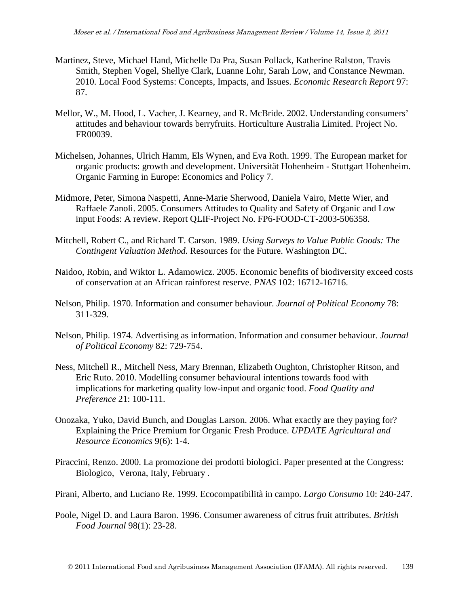- Martinez, Steve, Michael Hand, Michelle Da Pra, Susan Pollack, Katherine Ralston, Travis Smith, Stephen Vogel, Shellye Clark, Luanne Lohr, Sarah Low, and Constance Newman. 2010. Local Food Systems: Concepts, Impacts, and Issues. *Economic Research Report* 97: 87.
- Mellor, W., M. Hood, L. Vacher, J. Kearney, and R. McBride. 2002. Understanding consumers' attitudes and behaviour towards berryfruits. Horticulture Australia Limited. Project No. FR00039.
- Michelsen, Johannes, Ulrich Hamm, Els Wynen, and Eva Roth. 1999. The European market for organic products: growth and development. Universität Hohenheim - Stuttgart Hohenheim. Organic Farming in Europe: Economics and Policy 7.
- Midmore, Peter, Simona Naspetti, Anne-Marie Sherwood, Daniela Vairo, Mette Wier, and Raffaele Zanoli. 2005. Consumers Attitudes to Quality and Safety of Organic and Low input Foods: A review. Report QLIF-Project No. FP6-FOOD-CT-2003-506358.
- Mitchell, Robert C., and Richard T. Carson. 1989. *Using Surveys to Value Public Goods: The Contingent Valuation Method.* Resources for the Future. Washington DC.
- Naidoo, Robin, and Wiktor L. Adamowicz. 2005. Economic benefits of biodiversity exceed costs of conservation at an African rainforest reserve. *PNAS* 102: 16712-16716.
- Nelson, Philip. 1970. Information and consumer behaviour. *Journal of Political Economy* 78: 311-329.
- Nelson, Philip. 1974. Advertising as information. Information and consumer behaviour. *Journal of Political Economy* 82: 729-754.
- Ness, Mitchell R., Mitchell Ness, Mary Brennan, Elizabeth Oughton, Christopher Ritson, and Eric Ruto. 2010. Modelling consumer behavioural intentions towards food with implications for marketing quality low-input and organic food. *Food Quality and Preference* 21: 100-111.
- Onozaka, Yuko, David Bunch, and Douglas Larson. 2006. What exactly are they paying for? Explaining the Price Premium for Organic Fresh Produce. *UPDATE Agricultural and Resource Economics* 9(6): 1-4.
- Piraccini, Renzo. 2000. La promozione dei prodotti biologici. Paper presented at the Congress: Biologico, Verona, Italy, February .
- Pirani, Alberto, and Luciano Re. 1999. Ecocompatibilità in campo. *Largo Consumo* 10: 240-247.
- Poole, Nigel D. and Laura Baron. 1996. Consumer awareness of citrus fruit attributes. *British Food Journal* 98(1): 23-28.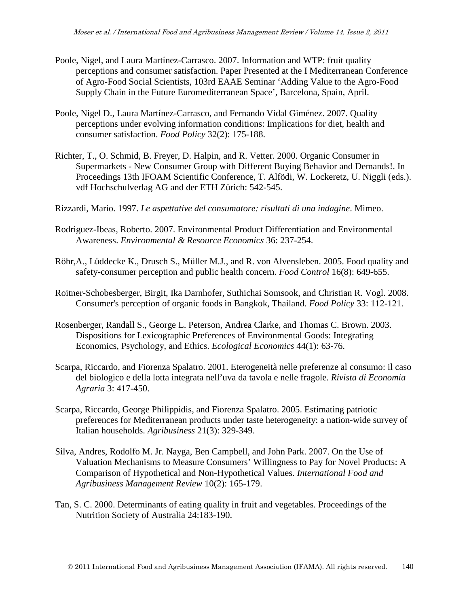- Poole, Nigel, and Laura Martínez-Carrasco. 2007. Information and WTP: fruit quality perceptions and consumer satisfaction. Paper Presented at the I Mediterranean Conference of Agro-Food Social Scientists, 103rd EAAE Seminar 'Adding Value to the Agro-Food Supply Chain in the Future Euromediterranean Space', Barcelona, Spain, April.
- Poole, Nigel D., Laura Martínez-Carrasco, and Fernando Vidal Giménez. 2007. Quality perceptions under evolving information conditions: Implications for diet, health and consumer satisfaction. *Food Policy* 32(2): 175-188.
- Richter, T., O. Schmid, B. Freyer, D. Halpin, and R. Vetter. 2000. Organic Consumer in Supermarkets - New Consumer Group with Different Buying Behavior and Demands!. In Proceedings 13th IFOAM Scientific Conference, T. Alfödi, W. Lockeretz, U. Niggli (eds.). vdf Hochschulverlag AG and der ETH Zürich: 542-545.
- Rizzardi, Mario. 1997. *Le aspettative del consumatore: risultati di una indagine*. Mimeo.
- Rodriguez-Ibeas, Roberto. 2007. Environmental Product Differentiation and Environmental Awareness. *Environmental & Resource Economics* 36: 237-254.
- Röhr,A., Lüddecke K., Drusch S., Müller M.J., and R. von Alvensleben. 2005. Food quality and safety-consumer perception and public health concern. *Food Control* 16(8): 649-655.
- Roitner-Schobesberger, Birgit, Ika Darnhofer, Suthichai Somsook, and Christian R. Vogl. 2008. Consumer's perception of organic foods in Bangkok, Thailand. *Food Policy* 33: 112-121.
- Rosenberger, Randall S., George L. Peterson, Andrea Clarke, and Thomas C. Brown. 2003. Dispositions for Lexicographic Preferences of Environmental Goods: Integrating Economics, Psychology, and Ethics. *Ecological Economics* 44(1): 63-76.
- Scarpa, Riccardo, and Fiorenza Spalatro. 2001. Eterogeneità nelle preferenze al consumo: il caso del biologico e della lotta integrata nell'uva da tavola e nelle fragole. *Rivista di Economia Agraria* 3: 417-450.
- Scarpa, Riccardo, George Philippidis, and Fiorenza Spalatro. 2005. Estimating patriotic preferences for Mediterranean products under taste heterogeneity: a nation-wide survey of Italian households. *Agribusiness* 21(3): 329-349.
- Silva, Andres, Rodolfo M. Jr. Nayga, Ben Campbell, and John Park. 2007. On the Use of Valuation Mechanisms to Measure Consumers' Willingness to Pay for Novel Products: A Comparison of Hypothetical and Non-Hypothetical Values. *International Food and Agribusiness Management Review* 10(2): 165-179.
- [Tan, S. C.](http://www.cabdirect.org/search.html?q=au%3A%22Tan%2C+S.+C.%22) 2000. Determinants of eating quality in fruit and vegetables. [Proceedings of the](http://www.cabdirect.org/search.html?q=do%3A%22Proceedings+of+the+Nutrition+Society+of+Australia%22)  [Nutrition Society of Australia](http://www.cabdirect.org/search.html?q=do%3A%22Proceedings+of+the+Nutrition+Society+of+Australia%22) 24:183-190.